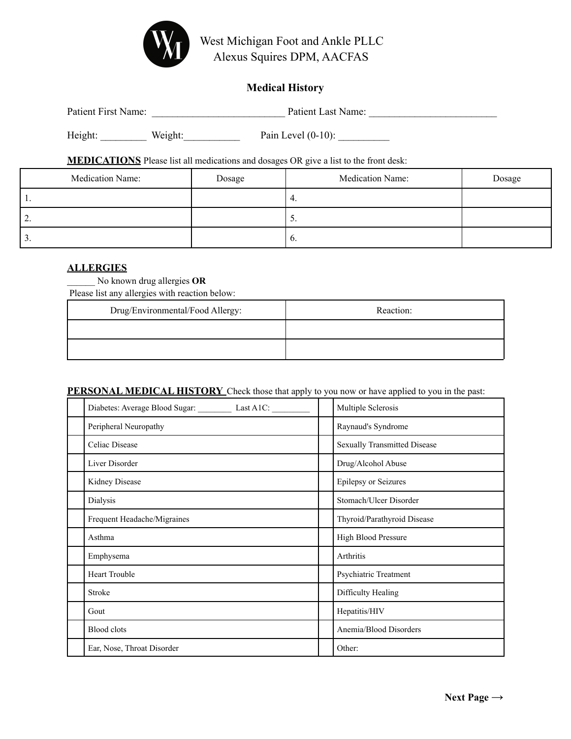

West Michigan Foot and Ankle PLLC Alexus Squires DPM, AACFAS

# **Medical History**

| Patient First Name: |         | Patient Last Name:    |
|---------------------|---------|-----------------------|
| Height:             | Weight: | Pain Level $(0-10)$ : |

**MEDICATIONS** Please list all medications and dosages OR give a list to the front desk:

| Medication Name: | Dosage | <b>Medication Name:</b> | Dosage |
|------------------|--------|-------------------------|--------|
| . .              |        | 4.                      |        |
| <u>L</u> .       |        | J.                      |        |
| J.               |        | $\mathbf{b}$ .          |        |

#### **ALLERGIES**

\_\_\_\_\_\_ No known drug allergies **OR**

Please list any allergies with reaction below:

| Drug/Environmental/Food Allergy: | Reaction: |
|----------------------------------|-----------|
|                                  |           |
|                                  |           |

#### **PERSONAL MEDICAL HISTORY** Check those that apply to you now or have applied to you in the past:

| Diabetes: Average Blood Sugar: ___________ Last A1C: _________ |  | Multiple Sclerosis                  |
|----------------------------------------------------------------|--|-------------------------------------|
| Peripheral Neuropathy                                          |  | Raynaud's Syndrome                  |
| Celiac Disease                                                 |  | <b>Sexually Transmitted Disease</b> |
| Liver Disorder                                                 |  | Drug/Alcohol Abuse                  |
| Kidney Disease                                                 |  | Epilepsy or Seizures                |
| Dialysis                                                       |  | Stomach/Ulcer Disorder              |
| Frequent Headache/Migraines                                    |  | Thyroid/Parathyroid Disease         |
| Asthma                                                         |  | High Blood Pressure                 |
| Emphysema                                                      |  | Arthritis                           |
| <b>Heart Trouble</b>                                           |  | Psychiatric Treatment               |
| Stroke                                                         |  | Difficulty Healing                  |
| Gout                                                           |  | Hepatitis/HIV                       |
| <b>Blood</b> clots                                             |  | Anemia/Blood Disorders              |
| Ear, Nose, Throat Disorder                                     |  | Other:                              |